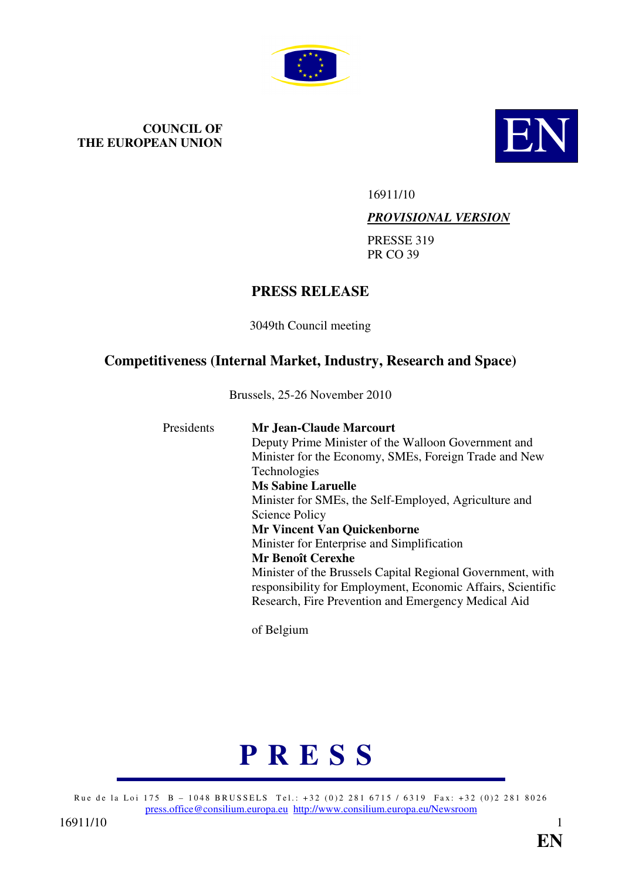

# **COUNCIL OF THE EUROPEAN UNION**



16911/10

#### *PROVISIONAL VERSION*

PRESSE 319 PR CO 39

# **PRESS RELEASE**

3049th Council meeting

# **Competitiveness (Internal Market, Industry, Research and Space)**

Brussels, 25-26 November 2010

| <b>Presidents</b> | <b>Mr.Jean-Claude Marcourt</b><br>Deputy Prime Minister of the Walloon Government and<br>Minister for the Economy, SMEs, Foreign Trade and New<br><b>Technologies</b><br><b>Ms Sabine Laruelle</b><br>Minister for SMEs, the Self-Employed, Agriculture and<br>Science Policy<br><b>Mr Vincent Van Quickenborne</b><br>Minister for Enterprise and Simplification<br><b>Mr Benoît Cerexhe</b><br>Minister of the Brussels Capital Regional Government, with<br>responsibility for Employment, Economic Affairs, Scientific |
|-------------------|----------------------------------------------------------------------------------------------------------------------------------------------------------------------------------------------------------------------------------------------------------------------------------------------------------------------------------------------------------------------------------------------------------------------------------------------------------------------------------------------------------------------------|
|                   | Research, Fire Prevention and Emergency Medical Aid                                                                                                                                                                                                                                                                                                                                                                                                                                                                        |

of Belgium

# **P R E S S**

Rue de la Loi 175 B - 1048 BRUSSELS Tel.: +32 (0)2 281 6715 / 6319 Fax: +32 (0)2 281 8026 press.office@consilium.europa.eu http://www.consilium.europa.eu/Newsroom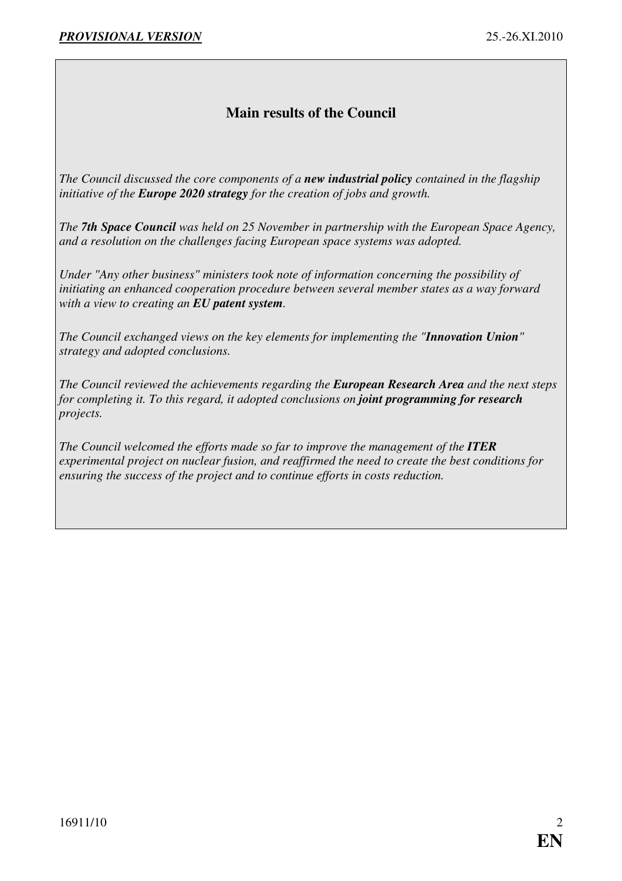# **Main results of the Council**

*The Council discussed the core components of a new industrial policy contained in the flagship initiative of the Europe 2020 strategy for the creation of jobs and growth.* 

*The 7th Space Council was held on 25 November in partnership with the European Space Agency, and a resolution on the challenges facing European space systems was adopted.* 

*Under "Any other business" ministers took note of information concerning the possibility of initiating an enhanced cooperation procedure between several member states as a way forward with a view to creating an EU patent system.* 

*The Council exchanged views on the key elements for implementing the "Innovation Union" strategy and adopted conclusions.* 

*The Council reviewed the achievements regarding the European Research Area and the next steps for completing it. To this regard, it adopted conclusions on joint programming for research projects.* 

*The Council welcomed the efforts made so far to improve the management of the ITER experimental project on nuclear fusion, and reaffirmed the need to create the best conditions for ensuring the success of the project and to continue efforts in costs reduction.*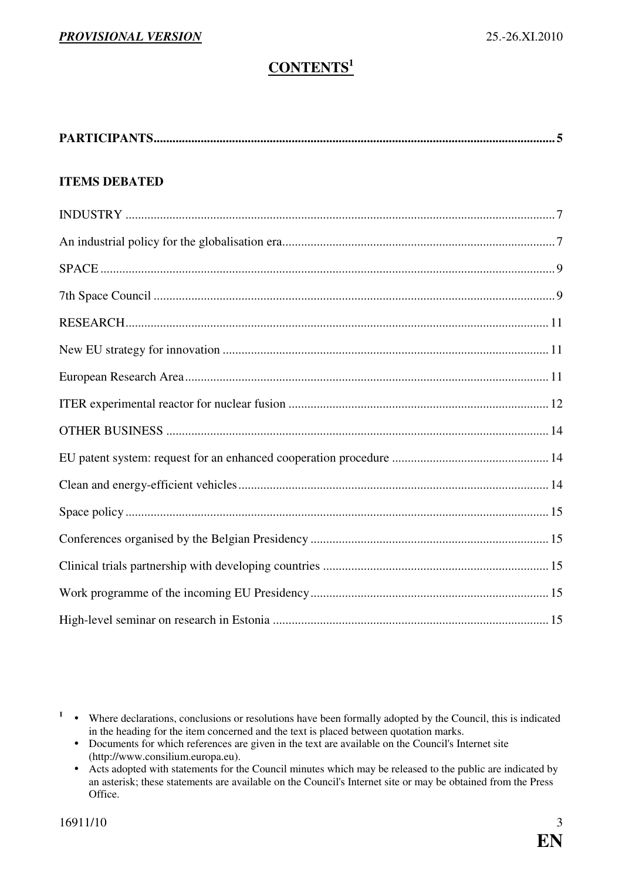# **CONTENTS<sup>1</sup>**

| <b>ITEMS DEBATED</b> |
|----------------------|
|                      |
|                      |
|                      |
|                      |
|                      |
|                      |
|                      |
|                      |
|                      |
|                      |
|                      |
|                      |
|                      |
|                      |
|                      |
|                      |

<sup>&</sup>lt;sup>1</sup> • Where declarations, conclusions or resolutions have been formally adopted by the Council, this is indicated in the heading for the item concerned and the text is placed between quotation marks.

<sup>•</sup> Documents for which references are given in the text are available on the Council's Internet site (http://www.consilium.europa.eu).

 $\bullet$  Acts adopted with statements for the Council minutes which may be released to the public are indicated by an asterisk; these statements are available on the Council's Internet site or may be obtained from the Press Office.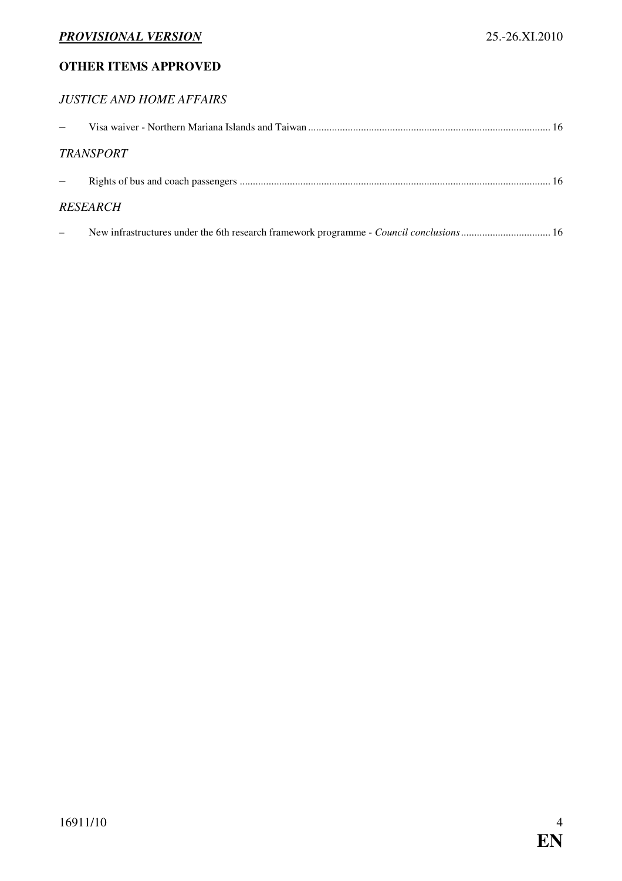#### **OTHER ITEMS APPROVED**

### *JUSTICE AND HOME AFFAIRS*

| <b>TRANSPORT</b>                                                                        |  |
|-----------------------------------------------------------------------------------------|--|
|                                                                                         |  |
| <b>RESEARCH</b>                                                                         |  |
| New infrastructures under the 6th research framework programme - Council conclusions 16 |  |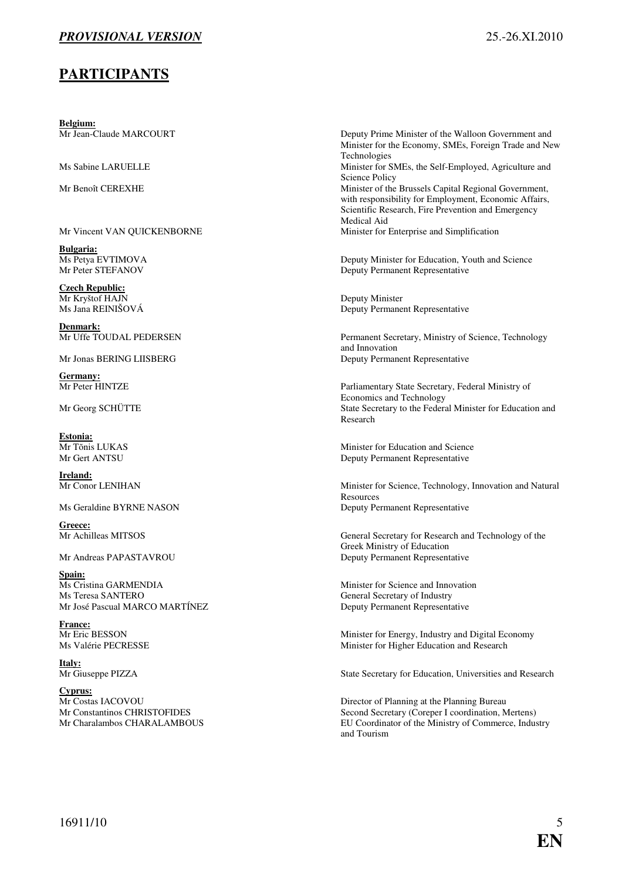#### <span id="page-4-0"></span>**PARTICIPANTS**

**Belgium:**<br>Mr Jean-Claude MARCOURT

Mr Vincent VAN QUICKENBORNE Minister for Enterprise and Simplification

**Bulgaria:**

**Czech Republic:** Mr Kryštof HAJN Deputy Minister<br>
Ms Jana REINIŠOVÁ Deputy Permane

**Denmark:**<br>Mr Uffe TOUDAL PEDERSEN

**Germany:**<br>Mr Peter HINTZE

**Estonia:**<br>Mr Tõnis LUKAS

**Ireland:**<br>Mr Conor LENIHAN

**Greece:**<br>Mr Achilleas MITSOS

Spain:<br>Ms Cristina GARMENDIA Ms Teresa SANTERO General Secretary of Industry Mr José Pascual MARCO MARTÍNEZ Deputy Permanent Representative

**France:**<br>Mr Eric BESSON

**Italy:**<br>Mr Giuseppe PIZZA

**Cyprus:**

Deputy Prime Minister of the Walloon Government and Minister for the Economy, SMEs, Foreign Trade and New Technologies Ms Sabine LARUELLE Minister for SMEs, the Self-Employed, Agriculture and Science Policy Mr Benoît CEREXHE Minister of the Brussels Capital Regional Government, with responsibility for Employment, Economic Affairs, Scientific Research, Fire Prevention and Emergency Medical Aid

Ms Petya EVTIMOVA<br>
Ms Petya EVTIMOVA<br>
Deputy Minister for Education, Youth and Science<br>
Deputy Permanent Representative Deputy Permanent Representative

Deputy Permanent Representative

Permanent Secretary, Ministry of Science, Technology and Innovation Mr Jonas BERING LIISBERG Deputy Permanent Representative

Parliamentary State Secretary, Federal Ministry of Economics and Technology Mr Georg SCHÜTTE State Secretary to the Federal Minister for Education and Research

Minister for Education and Science Mr Gert ANTSU Deputy Permanent Representative

Minister for Science, Technology, Innovation and Natural Resources Ms Geraldine BYRNE NASON Deputy Permanent Representative

General Secretary for Research and Technology of the Greek Ministry of Education Mr Andreas PAPASTAVROU Deputy Permanent Representative

Minister for Science and Innovation

Minister for Energy, Industry and Digital Economy Ms Valérie PECRESSE Minister for Higher Education and Research

State Secretary for Education, Universities and Research

Director of Planning at the Planning Bureau Mr Constantinos CHRISTOFIDES Second Secretary (Coreper I coordination, Mertens) Mr Charalambos CHARALAMBOUS EU Coordinator of the Ministry of Commerce, Industry and Tourism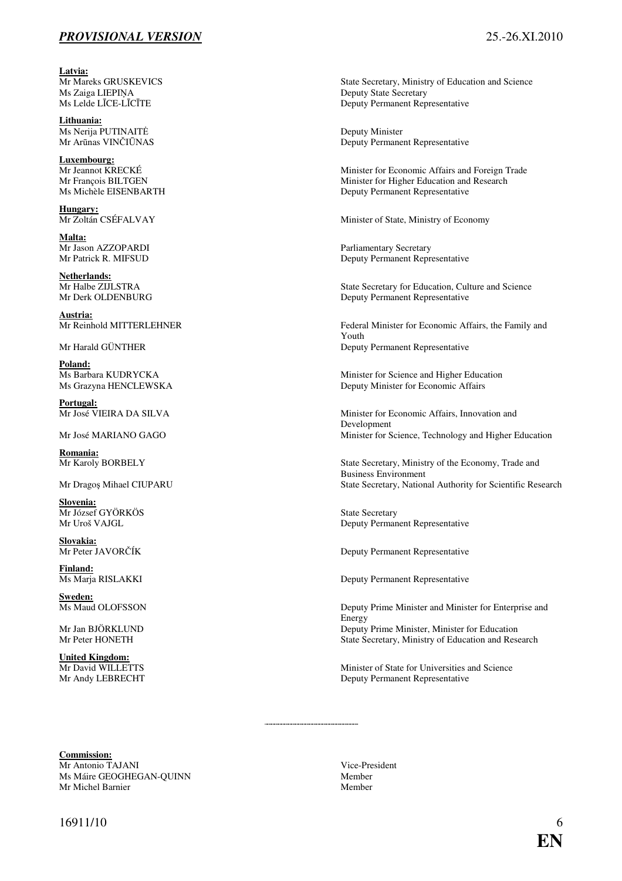Latvia:<br>Mr Mareks GRUSKEVICS Ms Zaiga LIEPIŅA Deputy State Secretary<br>
Ms Lelde LĪCE-LĪCĪTE Deputy Permanent Rep

**Lithuania:** Ms Nerija PUTINAITĖ<br>
Mr Arūnas VINČIŪNAS<br>
Deputy Permane

**Luxembourg:**<br>Mr Jeannot KRECKÉ

**Hungary:**<br>Mr Zoltán CSÉFALVAY

**Malta:**<br>Mr Jason AZZOPARDI

**Netherlands:**

**Austria:**

**Poland:**<br>Ms Barbara KUDRYCKA

**Portugal:**

**Romania:**

**Slovenia:** Mr József GYÖRKÖS State Secretary<br>
Mr Uroš VAIGL State Secretary<br>
Deputy Perman

**Slovakia:**<br>Mr Peter JAVORČÍK

**Finland:**<br>Ms Marja RISLAKKI

**Sweden:**<br>Ms Maud OLOFSSON

**United Kingdom:**

State Secretary, Ministry of Education and Science Deputy Permanent Representative

Deputy Permanent Representative

Minister for Economic Affairs and Foreign Trade Mr François BILTGEN<br>
Minister for Higher Education and Research<br>
Minister for Higher Education and Research<br>
Deputy Permanent Representative Deputy Permanent Representative

Minister of State, Ministry of Economy

Mr Jason AZZOPARDI Parliamentary Secretary<br>
Mr Patrick R. MIFSUD Deputy Permanent Repre Deputy Permanent Representative

State Secretary for Education, Culture and Science Mr Derk OLDENBURG Deputy Permanent Representative

Mr Reinhold MITTERLEHNER Federal Minister for Economic Affairs, the Family and Youth Mr Harald GÜNTHER Deputy Permanent Representative

Ms Barbara KUDRYCKA Minister for Science and Higher Education<br>Ms Grazyna HENCLEWSKA Deputy Minister for Economic Affairs Deputy Minister for Economic Affairs

Minister for Economic Affairs, Innovation and Development Mr José MARIANO GAGO **Minister for Science**, Technology and Higher Education

State Secretary, Ministry of the Economy, Trade and Business Environment Mr Dragos Mihael CIUPARU State Secretary, National Authority for Scientific Research

Deputy Permanent Representative

Deputy Permanent Representative

Deputy Permanent Representative

Deputy Prime Minister and Minister for Enterprise and Energy Mr Jan BJÖRKLUND Deputy Prime Minister, Minister for Education Mr Peter HONETH State Secretary, Ministry of Education and Research

Minister of State for Universities and Science Mr Andy LEBRECHT Deputy Permanent Representative

**Commission:** Mr Antonio TAJANI Vice-President<br>
Ms Máire GEOGHEGAN-OUINN Ms Máire GEOGHEGAN-QUINN Mr Michel Barnier Member Member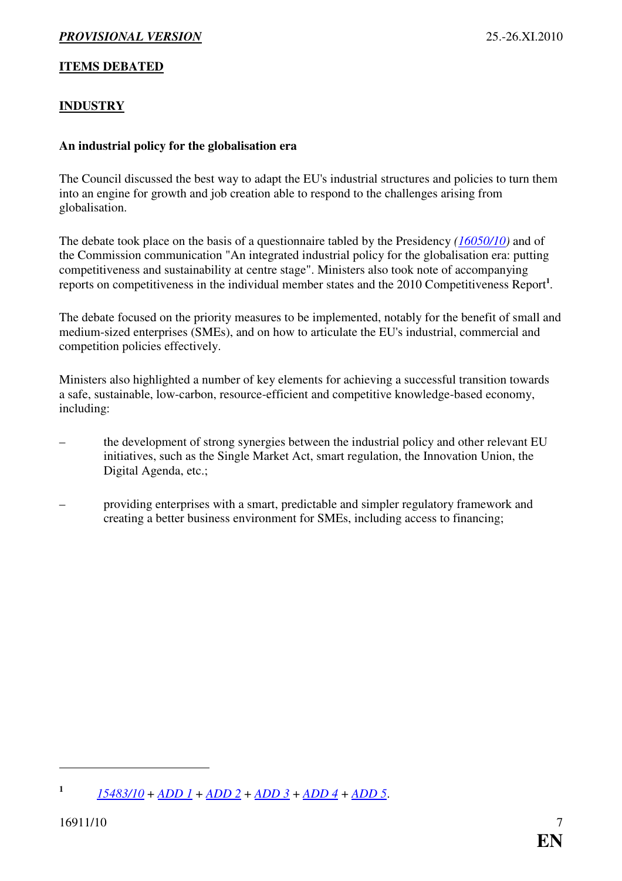#### <span id="page-6-0"></span>**ITEMS DEBATED**

#### **INDUSTRY**

#### **An industrial policy for the globalisation era**

The Council discussed the best way to adapt the EU's industrial structures and policies to turn them into an engine for growth and job creation able to respond to the challenges arising from globalisation.

The debate took place on the basis of a questionnaire tabled by the Presidency *[\(16050/10\)](http://register.consilium.europa.eu/pdf/en/10/st16/st16050.en10.pdf)* and of the Commission communication "An integrated industrial policy for the globalisation era: putting competitiveness and sustainability at centre stage". Ministers also took note of accompanying reports on competitiveness in the individual member states and the 2010 Competitiveness Report**<sup>1</sup>** .

The debate focused on the priority measures to be implemented, notably for the benefit of small and medium-sized enterprises (SMEs), and on how to articulate the EU's industrial, commercial and competition policies effectively.

Ministers also highlighted a number of key elements for achieving a successful transition towards a safe, sustainable, low-carbon, resource-efficient and competitive knowledge-based economy, including:

- the development of strong synergies between the industrial policy and other relevant EU initiatives, such as the Single Market Act, smart regulation, the Innovation Union, the Digital Agenda, etc.;
- providing enterprises with a smart, predictable and simpler regulatory framework and creating a better business environment for SMEs, including access to financing;

**<sup>1</sup>** *[15483/10](http://register.consilium.europa.eu/pdf/en/10/st15/st15483.en10.pdf)* + *[ADD 1](http://register.consilium.europa.eu/pdf/en/10/st15/st15483-ad01.en10.pdf)* + *[ADD 2](http://register.consilium.europa.eu/pdf/en/10/st15/st15483-ad02.en10.pdf)* + *[ADD 3](http://register.consilium.europa.eu/pdf/en/10/st15/st15483-ad03.en10.pdf)* + *[ADD 4](http://register.consilium.europa.eu/pdf/en/10/st15/st15483-ad04.en10.pdf)* + *[ADD 5](http://register.consilium.europa.eu/pdf/en/10/st15/st15483-ad05.en10.pdf)*.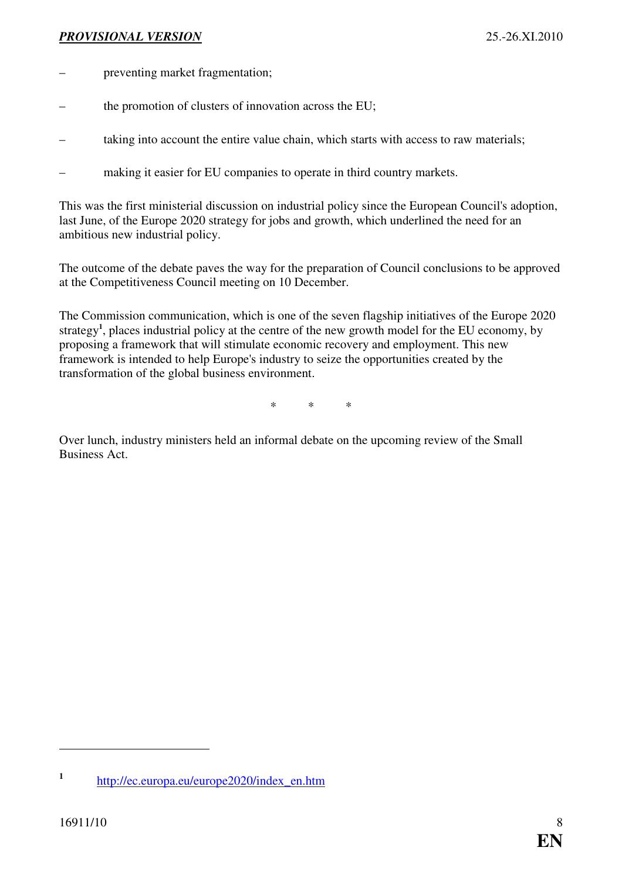- preventing market fragmentation;
- the promotion of clusters of innovation across the EU;
- taking into account the entire value chain, which starts with access to raw materials;
- making it easier for EU companies to operate in third country markets.

This was the first ministerial discussion on industrial policy since the European Council's adoption, last June, of the Europe 2020 strategy for jobs and growth, which underlined the need for an ambitious new industrial policy.

The outcome of the debate paves the way for the preparation of Council conclusions to be approved at the Competitiveness Council meeting on 10 December.

The Commission communication, which is one of the seven flagship initiatives of the Europe 2020 strategy**<sup>1</sup>** , places industrial policy at the centre of the new growth model for the EU economy, by proposing a framework that will stimulate economic recovery and employment. This new framework is intended to help Europe's industry to seize the opportunities created by the transformation of the global business environment.

\* \* \*

Over lunch, industry ministers held an informal debate on the upcoming review of the Small Business Act.

**<sup>1</sup>** [http://ec.europa.eu/europe2020/index\\_en.htm](http://ec.europa.eu/europe2020/index_en.htm)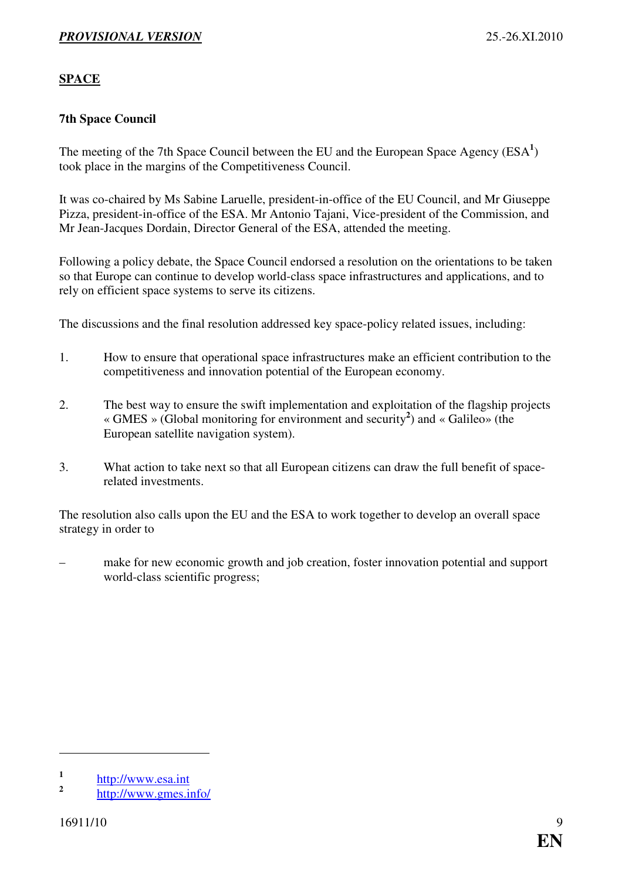#### <span id="page-8-0"></span>**SPACE**

#### **7th Space Council**

The meeting of the 7th Space Council between the EU and the European Space Agency (ESA<sup>1</sup>) took place in the margins of the Competitiveness Council.

It was co-chaired by Ms Sabine Laruelle, president-in-office of the EU Council, and Mr Giuseppe Pizza, president-in-office of the ESA. Mr Antonio Tajani, Vice-president of the Commission, and Mr Jean-Jacques Dordain, Director General of the ESA, attended the meeting.

Following a policy debate, the Space Council endorsed a resolution on the orientations to be taken so that Europe can continue to develop world-class space infrastructures and applications, and to rely on efficient space systems to serve its citizens.

The discussions and the final resolution addressed key space-policy related issues, including:

- 1. How to ensure that operational space infrastructures make an efficient contribution to the competitiveness and innovation potential of the European economy.
- 2. The best way to ensure the swift implementation and exploitation of the flagship projects « GMES » (Global monitoring for environment and security**<sup>2</sup>** ) and « Galileo» (the European satellite navigation system).
- 3. What action to take next so that all European citizens can draw the full benefit of spacerelated investments.

The resolution also calls upon the EU and the ESA to work together to develop an overall space strategy in order to

– make for new economic growth and job creation, foster innovation potential and support world-class scientific progress;

**<sup>1</sup>** [http://www.esa.int](http://www.esa.int/esaCP/index.html)

**<sup>2</sup>** <http://www.gmes.info/>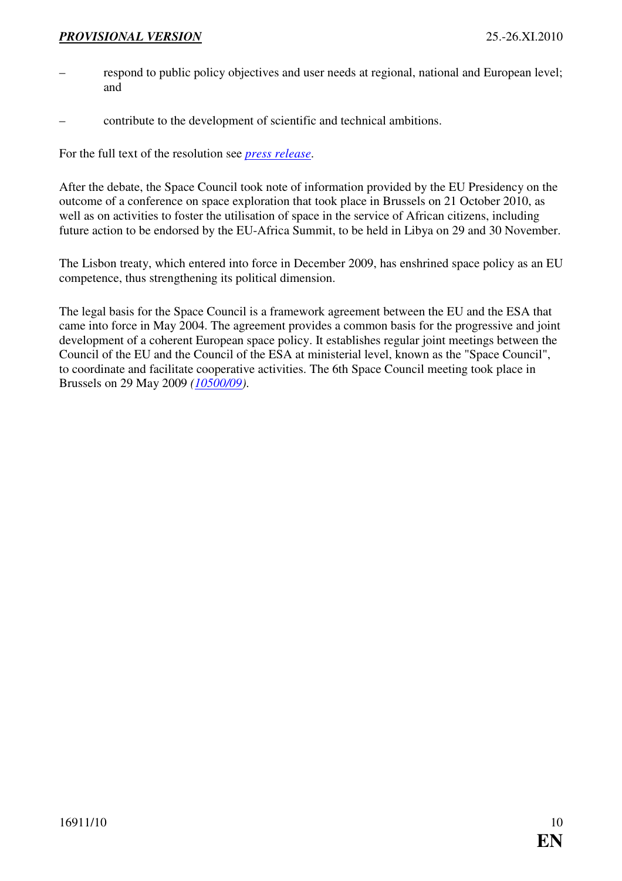- respond to public policy objectives and user needs at regional, national and European level; and
- contribute to the development of scientific and technical ambitions.

For the full text of the resolution see *[press release](http://consilium.europa.eu/uedocs/cms_data/docs/pressdata/en/intm/118012.pdf)*.

After the debate, the Space Council took note of information provided by the EU Presidency on the outcome of a conference on space exploration that took place in Brussels on 21 October 2010, as well as on activities to foster the utilisation of space in the service of African citizens, including future action to be endorsed by the EU-Africa Summit, to be held in Libya on 29 and 30 November.

The Lisbon treaty, which entered into force in December 2009, has enshrined space policy as an EU competence, thus strengthening its political dimension.

The legal basis for the Space Council is a framework agreement between the EU and the ESA that came into force in May 2004. The agreement provides a common basis for the progressive and joint development of a coherent European space policy. It establishes regular joint meetings between the Council of the EU and the Council of the ESA at ministerial level, known as the "Space Council", to coordinate and facilitate cooperative activities. The 6th Space Council meeting took place in Brussels on 29 May 2009 *[\(10500/09\)](http://register.consilium.europa.eu/pdf/en/09/st10/st10500.en09.pdf)*.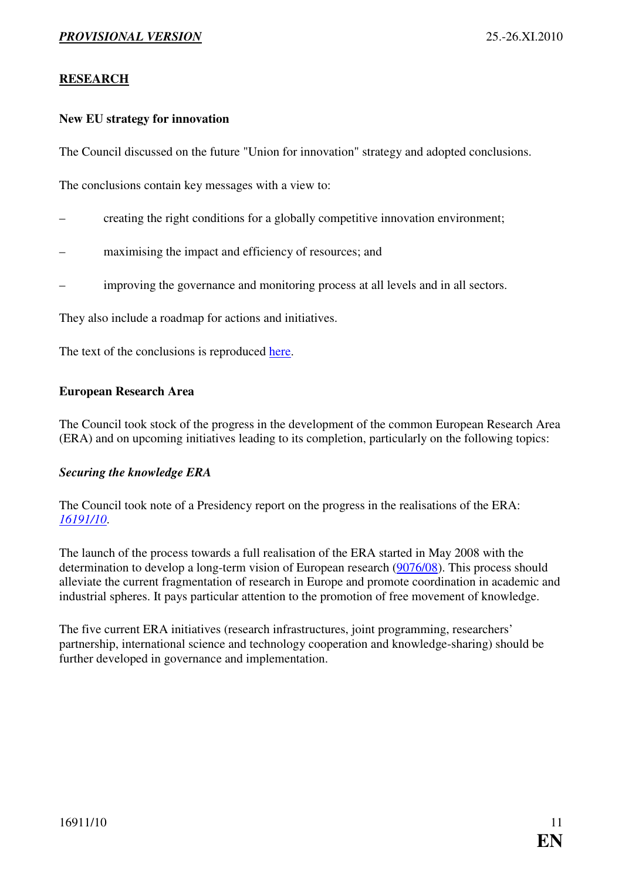#### <span id="page-10-0"></span>**RESEARCH**

#### **New EU strategy for innovation**

The Council discussed on the future "Union for innovation" strategy and adopted conclusions.

The conclusions contain key messages with a view to:

- creating the right conditions for a globally competitive innovation environment;
- maximising the impact and efficiency of resources; and
- improving the governance and monitoring process at all levels and in all sectors.

They also include a roadmap for actions and initiatives.

The text of the conclusions is reproduced [here.](http://consilium.europa.eu/uedocs/cms_data/docs/pressdata/en/intm/118028.pdf)

#### **European Research Area**

The Council took stock of the progress in the development of the common European Research Area (ERA) and on upcoming initiatives leading to its completion, particularly on the following topics:

#### *Securing the knowledge ERA*

The Council took note of a Presidency report on the progress in the realisations of the ERA: *[16191/10](http://register.consilium.europa.eu/pdf/en/10/st16/st16191.en10.pdf)*.

The launch of the process towards a full realisation of the ERA started in May 2008 with the determination to develop a long-term vision of European research ([9076/08\)](http://register.consilium.europa.eu/pdf/en/08/st09/st09076.en08.pdf). This process should alleviate the current fragmentation of research in Europe and promote coordination in academic and industrial spheres. It pays particular attention to the promotion of free movement of knowledge.

The five current ERA initiatives (research infrastructures, joint programming, researchers' partnership, international science and technology cooperation and knowledge-sharing) should be further developed in governance and implementation.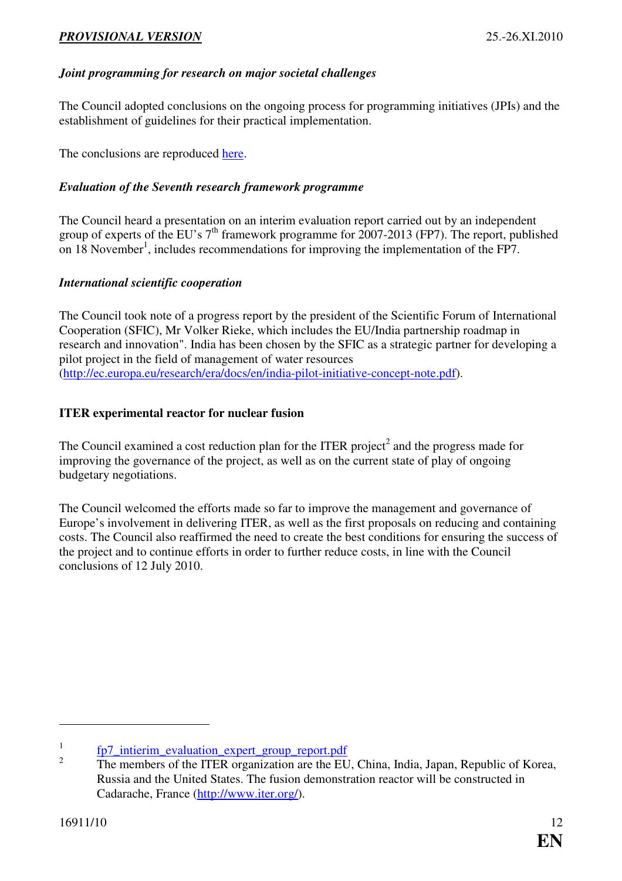# <span id="page-11-0"></span>*Joint programming for research on major societal challenges*

The Council adopted conclusions on the ongoing process for programming initiatives (JPIs) and the establishment of guidelines for their practical implementation.

The conclusions are reproduced [here.](http://consilium.europa.eu/uedocs/cms_data/docs/pressdata/en/intm/118029.pdf)

# *Evaluation of the Seventh research framework programme*

The Council heard a presentation on an interim evaluation report carried out by an independent group of experts of the EU's  $7<sup>th</sup>$  framework programme for 2007-2013 (FP7). The report, published on 18 November<sup>1</sup>, includes recommendations for improving the implementation of the FP7.

# *International scientific cooperation*

The Council took note of a progress report by the president of the Scientific Forum of International Cooperation (SFIC), Mr Volker Rieke, which includes the EU/India partnership roadmap in research and innovation". India has been chosen by the SFIC as a strategic partner for developing a pilot project in the field of management of water resources ([http://ec.europa.eu/research/era/docs/en/india-pilot-initiative-concept-note.pdf\)](http://ec.europa.eu/research/era/docs/en/india-pilot-initiative-concept-note.pdf).

# **ITER experimental reactor for nuclear fusion**

The Council examined a cost reduction plan for the ITER project<sup>2</sup> and the progress made for improving the governance of the project, as well as on the current state of play of ongoing budgetary negotiations.

The Council welcomed the efforts made so far to improve the management and governance of Europe's involvement in delivering ITER, as well as the first proposals on reducing and containing costs. The Council also reaffirmed the need to create the best conditions for ensuring the success of the project and to continue efforts in order to further reduce costs, in line with the Council conclusions of 12 July 2010.

<sup>1</sup> [fp7\\_intierim\\_evaluation\\_expert\\_group\\_report.pdf](http://ec.europa.eu/research/evaluations/pdf/archive/other_reports_studies_and_documents/fp7_interim_evaluation_expert_group_report.pdf)

<sup>2</sup> The members of the ITER organization are the EU, China, India, Japan, Republic of Korea, Russia and the United States. The fusion demonstration reactor will be constructed in Cadarache, France ([http://www.iter.org/\)](http://www.iter.org/).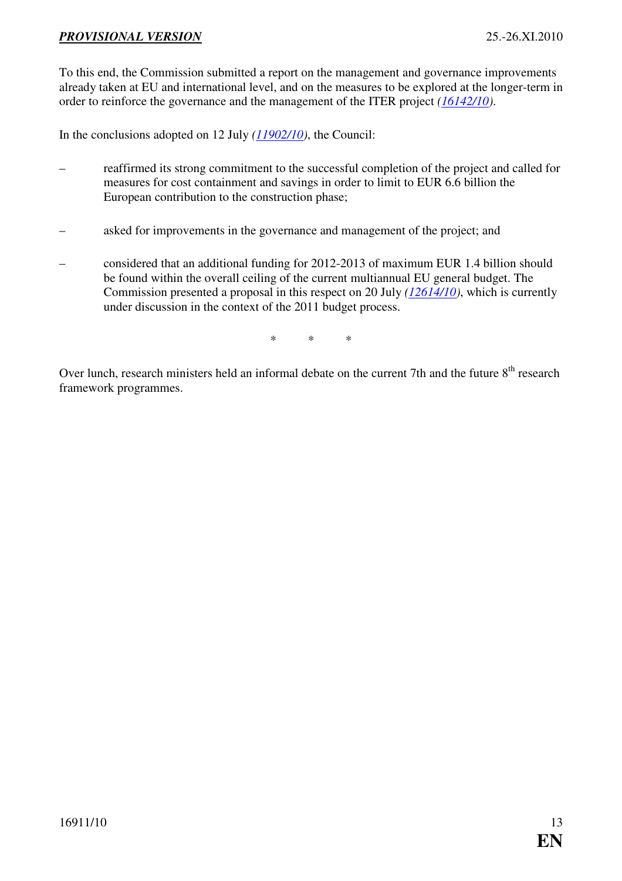To this end, the Commission submitted a report on the management and governance improvements already taken at EU and international level, and on the measures to be explored at the longer-term in order to reinforce the governance and the management of the ITER project *[\(16142/10\)](http://register.consilium.europa.eu/pdf/en/10/st16/st16142.en10.pdf)*.

In the conclusions adopted on 12 July *[\(11902/10\)](http://register.consilium.europa.eu/pdf/en/10/st11/st11902.en10.pdf)*, the Council:

- reaffirmed its strong commitment to the successful completion of the project and called for measures for cost containment and savings in order to limit to EUR 6.6 billion the European contribution to the construction phase;
- asked for improvements in the governance and management of the project; and
- considered that an additional funding for 2012-2013 of maximum EUR 1.4 billion should be found within the overall ceiling of the current multiannual EU general budget. The Commission presented a proposal in this respect on 20 July *[\(12614/10\)](http://register.consilium.europa.eu/pdf/en/10/st12/st12614.en10.pdf)*, which is currently under discussion in the context of the 2011 budget process.

\* \* \*

Over lunch, research ministers held an informal debate on the current 7th and the future 8<sup>th</sup> research framework programmes.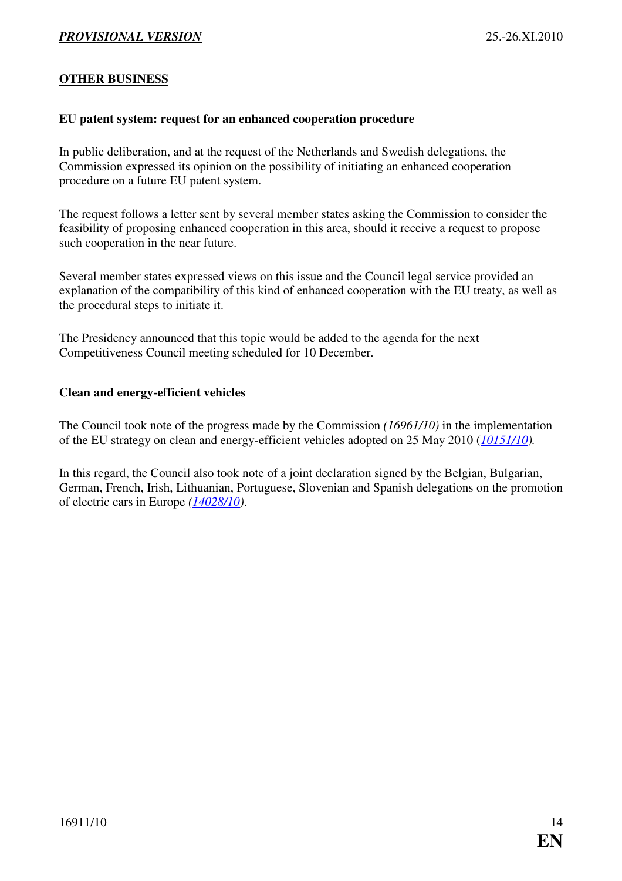#### <span id="page-13-0"></span>**OTHER BUSINESS**

#### **EU patent system: request for an enhanced cooperation procedure**

In public deliberation, and at the request of the Netherlands and Swedish delegations, the Commission expressed its opinion on the possibility of initiating an enhanced cooperation procedure on a future EU patent system.

The request follows a letter sent by several member states asking the Commission to consider the feasibility of proposing enhanced cooperation in this area, should it receive a request to propose such cooperation in the near future.

Several member states expressed views on this issue and the Council legal service provided an explanation of the compatibility of this kind of enhanced cooperation with the EU treaty, as well as the procedural steps to initiate it.

The Presidency announced that this topic would be added to the agenda for the next Competitiveness Council meeting scheduled for 10 December.

#### **Clean and energy-efficient vehicles**

The Council took note of the progress made by the Commission *(16961/10)* in the implementation of the EU strategy on clean and energy-efficient vehicles adopted on 25 May 2010 (*[10151/10\)](http://register.consilium.europa.eu/pdf/en/10/st10/st10151.en10.pdf).*

In this regard, the Council also took note of a joint declaration signed by the Belgian, Bulgarian, German, French, Irish, Lithuanian, Portuguese, Slovenian and Spanish delegations on the promotion of electric cars in Europe *[\(14028/10\)](http://register.consilium.europa.eu/pdf/en/10/st14/st14028.en10.pdf)*.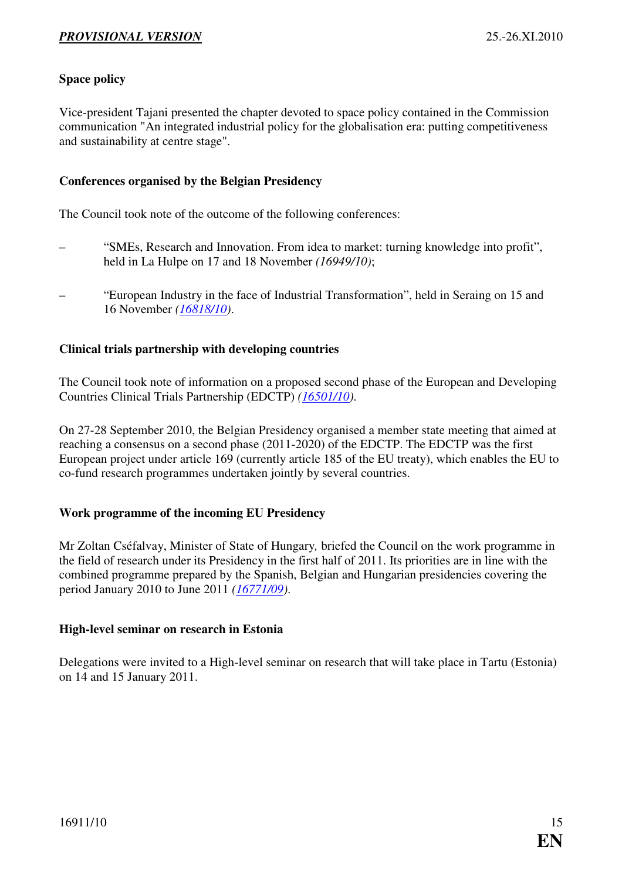#### <span id="page-14-0"></span>**Space policy**

Vice-president Tajani presented the chapter devoted to space policy contained in the Commission communication "An integrated industrial policy for the globalisation era: putting competitiveness and sustainability at centre stage".

#### **Conferences organised by the Belgian Presidency**

The Council took note of the outcome of the following conferences:

- "SMEs, Research and Innovation. From idea to market: turning knowledge into profit", held in La Hulpe on 17 and 18 November *(16949/10)*;
- "European Industry in the face of Industrial Transformation", held in Seraing on 15 and 16 November *([16818/10\)](http://register.consilium.europa.eu/pdf/en/10/st16/st16818.en10.pdf)*.

#### **Clinical trials partnership with developing countries**

The Council took note of information on a proposed second phase of the European and Developing Countries Clinical Trials Partnership (EDCTP) *([16501/10\)](http://register.consilium.europa.eu/pdf/en/10/st16/st16501.en10.pdf)*.

On 27-28 September 2010, the Belgian Presidency organised a member state meeting that aimed at reaching a consensus on a second phase (2011-2020) of the EDCTP. The EDCTP was the first European project under article 169 (currently article 185 of the EU treaty), which enables the EU to co-fund research programmes undertaken jointly by several countries.

#### **Work programme of the incoming EU Presidency**

Mr Zoltan Cséfalvay, Minister of State of Hungary*,* briefed the Council on the work programme in the field of research under its Presidency in the first half of 2011. Its priorities are in line with the combined programme prepared by the Spanish, Belgian and Hungarian presidencies covering the period January 2010 to June 2011 *([16771/09\)](http://register.consilium.europa.eu/pdf/en/09/st16/st16771.en09.pdf)*.

#### **High-level seminar on research in Estonia**

Delegations were invited to a High-level seminar on research that will take place in Tartu (Estonia) on 14 and 15 January 2011.